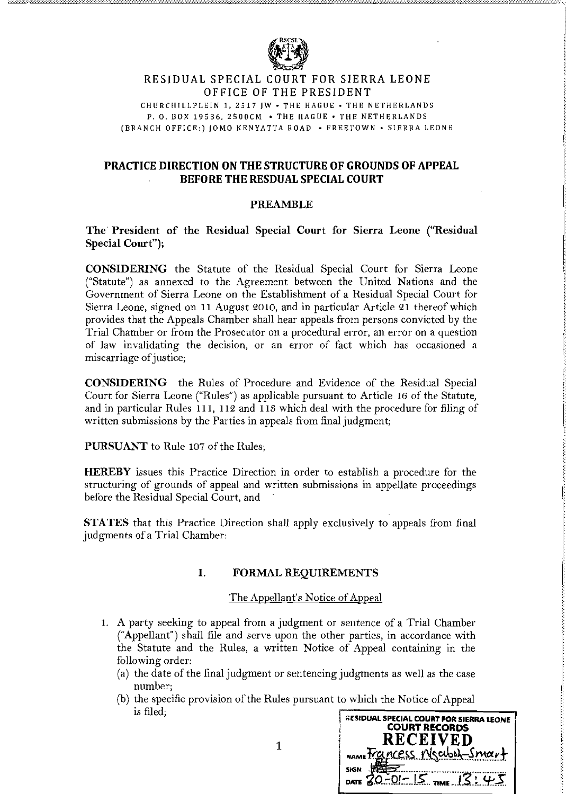

# **RESIDUAL SPECIAL COURT FOR SIERRA LEONE** OFFICE OF THE PRESIDENT

CHURCHILLPLEIN 1,2517 JW. THE HAGUE. THE NETHERLANDS P. O. BOX 19536, 2500CM • THE HAGUE • THE NETHERLANDS (BRANCH OFFICE,) IOMO KENYATTA ROAD. FREETOWN. SIERRA LEONE

# PRACTICE DIRECTION ONTHE STRUCTURE OF GROUNDS OF APPEAL BEFORETHE RESDUAL SPECIAL COURT

### PREAMBLE

The' President of the Residual Special Court for Sierra Leone ("Residual Special Court");

CONSIDERING the Statute of the Residual Special Court for Sierra Leone ("Statute") as annexed to the Agreement between the United Nations and the Government of Sierra Leone on the Establishment of a Residual Special Court for Sierra Leone, signed on 11 August 2010, and in particular Article 21 thereof which provides that the Appeals Chamber shall hear appeals from persons convicted by the Trial Chamber or from the Prosecutor on a procedural error, an error on a question of law invalidating the decision, or an error of fact which has occasioned a miscarriage of justice;

I CONSIDERING the Rules of Procedure and Evidence of the Residual Special Court for Sierra Leone ("Rules") as applicable pursuant to Article 16 of the Statute, and in particular Rules 111, 112 and 113 which deal with the procedure for filing of written submissions by the Parties in appeals from final judgment;

PURSUANT to Rule 107 of the Rules;

HEREBY issues this Practice Direction in order to establish a procedure for the structuring of grounds of appeal and written submissions in appellate proceedings before the Residual Special Court, and

STATES that this Practice Direction shall apply exclusively to appeals from final judgments of a Trial Chamber:

# I. FORMAL REQUIREMENTS

#### The Appellant's Notice of Appeal

- 1. A party seeking to appeal from a judgment or sentence of a Trial Chamber ("Appellant") shall file and serve upon the other parties, in accordance with the Statute and the Rules, a written Notice of Appeal containing in the following order:
	- (a) the date of the final judgment or sentencing judgments as well as the case number;
	- (b) the specific provision of the Rules pursuant to which the Notice of Appeal is filed;<br> **is filed, residual special court for sierra leone**<br> **COURT RECORDS**

|   | <b>RESIDUAL SPECIAL COURT FOR SIERRA LEONE</b><br><b>COURT RECORDS</b><br>RECEIVED |
|---|------------------------------------------------------------------------------------|
| 1 | Incess Meaboh-Smart<br>NAME <sup>T</sup> .                                         |
|   | <b>SIGN</b>                                                                        |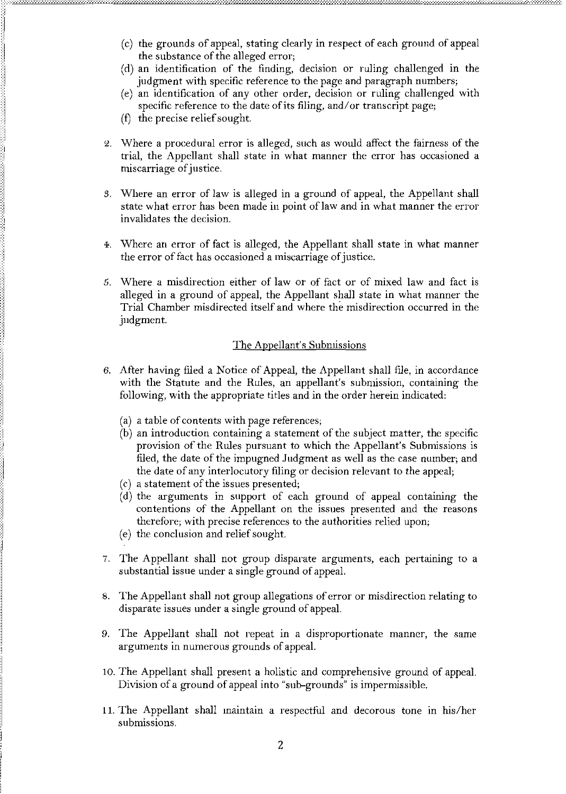- (c) the grounds of appeal, stating clearly in respect of each ground of appeal the substance of the alleged error;
- (d) an identification of the finding, decision or ruling challenged in the judgment with specific reference to the page and paragraph numbers;
- (e) an identification of any other order, decision or ruling challenged with specific reference to the date of its filing, and/or transcript page;
- (f) the precise relief sought.
- 2. Where a procedural error is alleged, such as would affect the fairness of the trial, the Appellant shall state in what manner the error has occasioned a miscarriage of justice.
- 3. Where an error of law is alleged in a ground of appeal, the Appellant shall state what error has been made in point of law and in what manner the error invalidates the decision.
- 4. Where an error of fact is alleged, the Appellant shall state in what manner the error of fact has occasioned a miscarriage of justice.
- 5. Where a misdirection either of law or of fact or of mixed law and fact is alleged in a ground of appeal, the Appellant shall state in what manner the Trial Chamber misdirected itself and where the misdirection occurred in the judgment.

## The Appellant's Submissions

- 6. After having filed a Notice of Appeal, the Appellant shall file, in accordance with the Statute and the Rules, an appellant's submission, containing the following, with the appropriate titles and in the order herein indicated.
	- (a) a table of contents with page references;
	- (b) an introduction containing a statement of the subject matter, the specific provision of the Rules pursuant to which the Appellant's Submissions is filed, the date of the impugned Judgment as well as the case number; and the date of any interlocutory filing or decision relevant to the appeal;
	- $(c)$  a statement of the issues presented;
	- (d) the arguments in support of each ground of appeal containing the contentions of the Appellant on the issues presented and the reasons therefore; with precise references to the authorities relied upon;
	- (e) the conclusion and relief sought.
- 7. The Appellant shall not group disparate arguments, each pertaining to a substantial issue under a single ground of appeal.
- 8. The Appellant shall not group allegations of error or misdirection relating to disparate issues under a single ground of appeal.
- 9. The Appellant shall not repeat in a disproportionate manner, the same arguments in numerous grounds of appeal.
- 10. The Appellant shall present a holistic and comprehensive ground of appeal. Division of a ground of appeal into "sub-grounds" is impermissible.
- 11. The Appellant shall maintain a respectful and decorous tone in his/her submissions.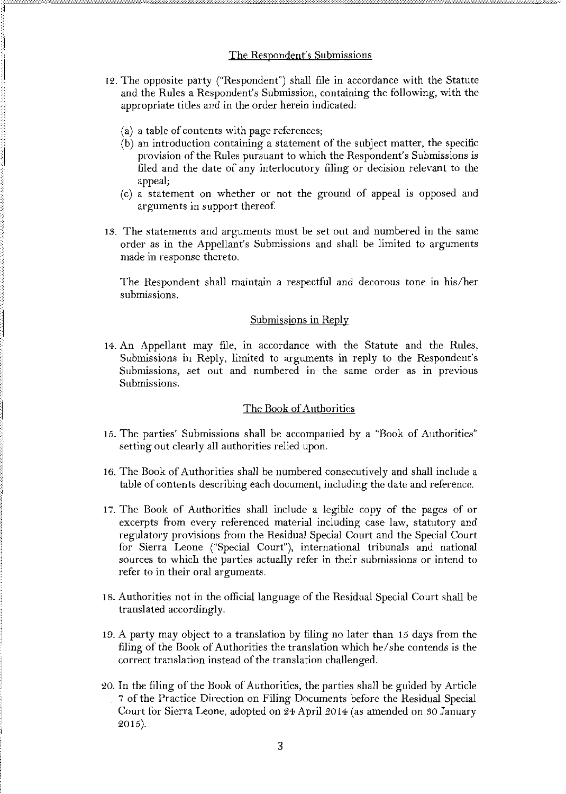- 12. The opposite party ("Respondent") shall file in accordance with the Statute and the Rules a Respondent's Submission, containing the following, with the appropriate titles and in the order herein indicated:
	- (a) a table of contents with page references;
	- (b) an introduction containing a statement of the subject matter, the specific provision of the Rules pursuant to which the Respondent's Submissions is filed and the date of any interlocutory filing or decision relevant to the appeal;
	- (c) a statement on whether or not the ground of appeal is opposed and arguments in support thereof.
- 13. The statements and arguments must be set out and numbered in the same order as in the Appellant's Submissions and shall be limited to arguments made in response thereto.

The Respondent shall maintain a respectful and decorous tone in his/her submissions.

# Submissions in Reply

14. An Appellant may file, in accordance with the Statute and the Rules, Submissions in Reply, limited to arguments in reply to the Respondent's Submissions, set out and numbered in the same order as in previous Submissions.

# The Book of Authorities

- 15. The parties' Submissions shall be accompanied by a "Book of Authorities" setting out clearly all authorities relied upon.
- 16. The Book of Authorities shall be numbered consecutively and shall include a table of contents describing each document, including the date and reference.
- 17. The Book of Authorities shall include a legible copy of the pages of or excerpts from every referenced material including case law, statutory and regulatory provisions from the Residual Special Court and the Special Court for Sierra Leone ("Special Court"), international tribunals and national sources to which the parties actually refer in their submissions or intend to refer to in their oral arguments.
- 18. Authorities not in the official language of the Residual Special Court shall be translated accordingly.
- 19. A party may object to a translation by filing no later than 15 days from the filing of the Book of Authorities the translation which he/she contends is the correct translation instead of the translation challenged.
- 20. In the filing of the Book of Authorities, the parties shall be guided by Article 7 of the Practice Direction on Filing Documents before the Residual Special Court for Sierra Leone, adopted on 24 April 2014 (as amended on 30 January 2015).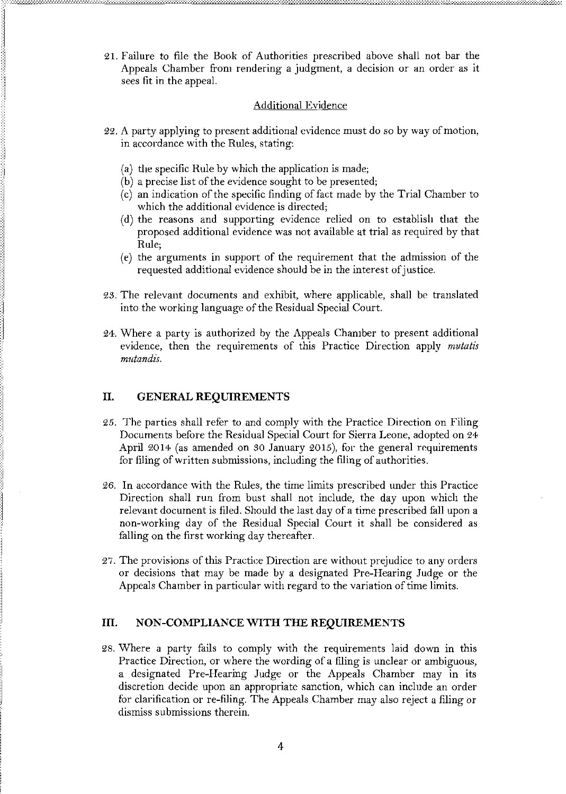21. Failure to file the Book of Authorities prescribed above shall not bar the Appeals Chamber from rendering a judgment, a decision or an order as it sees fit in the appeal.

### **Additional Evidence**

- 22. A party applying to present additional evidence must do so by way of motion, in accordance with the Rules, stating:
	- (a) the specific Rule by which the application is made;
	- (b) a precise list of the evidence sought to be presented;
	- (c) an indication of the specific finding of fact made by the Trial Chamber to which the additional evidence is directed;
	- (d) the reasons and supporting evidence relied on to establish that the proposed additional evidence was not available at trial as required by that Rule;
	- (e) the arguments in support of the requirement that the admission of the requested additional evidence should be in the interest of justice.
- 23. The relevant documents and exhibit, where applicable, shall be translated into the working language of the Residual Special Court.
- 24. Where a party is authorized by the Appeals Chamber to present additional evidence, then the requirements of this Practice Direction apply *mutatis mutandis*

#### II. **GENERAL REQUIREMENTS**

- 25. The parties shall refer to and comply with the Practice Direction on Filing Documents before the Residual Special Court for Sierra Leone, adopted on 24 April 2014 (as amended on 30 January 2015), for the general requirements for filing of written submissions, including the filing of authorities.
- 26. In accordance with the Rules, the time limits prescribed under this Practice Direction shall run from bust shall not include, the day upon which the relevant document is filed. Should the last day of a time prescribed fall upon a non-working day of the Residual Special Court it shall be considered as falling on the first working day thereafter.
- 27. The provisions of this Practice Direction are without prejudice to any orders or decisions that may be made by a designated Pre-Hearing Judge or the Appeals Chamber in particular with regard to the variation of time limits.

#### III. NON-COMPLIANCE WITH THE REQUIREMENTS

28. Where a party fails to comply with the requirements laid down in this Practice Direction, or where the wording of a filing is unclear or ambiguous, a designated Pre-Hearing Judge or the Appeals Chamber may in its discretion decide upon an appropriate sanction, which can include an order for clarification or re-filing. The Appeals Chamber may also reject a filing or dismiss submissions therein.